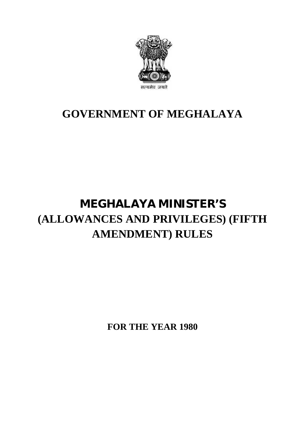

### **GOVERNMENT OF MEGHALAYA**

## **MEGHALAYA MINISTER'S (ALLOWANCES AND PRIVILEGES) (FIFTH AMENDMENT) RULES**

**FOR THE YEAR 1980**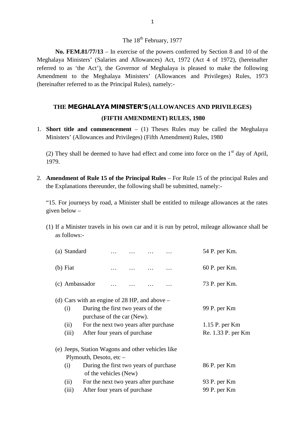### The 18<sup>th</sup> February, 1977

**No. FEM.81/77/13** – In exercise of the powers conferred by Section 8 and 10 of the Meghalaya Ministers' (Salaries and Allowances) Act, 1972 (Act 4 of 1972), (hereinafter referred to as 'the Act'), the Governor of Meghalaya is pleased to make the following The 18<sup>th</sup> February, 1977<br> **No. FEM.81/77/13** – In exercise of the powers conferred by Section 8 and 10 of the<br>
Meghalaya Ministers' (Salaries and Allowances) Act, 1972 (Act 4 of 1972), (hereinafter<br>
referred to as 'the Ac (hereinafter referred to as the Principal Rules), namely:-

# **THE MEGHALAYA MINISTER'S (ALLOWANCES AND PRIVILEGES)** the Principal Rules), namely:-<br>**(FIFTH AMENDMENT) RULES, 1980**<br>**(FIFTH AMENDMENT) RULES, 1980**<br>**mencement** – (1) Theses Rules may be called THE MEGHALAYA MINISTER'S (ALLOWANCES AND PRIVILEGE<br>
(FIFTH AMENDMENT) RULES, 1980<br>
Short title and commencement – (1) Theses Rules may be called the M<br>
Ministers' (Allowances and Privileges) (Fifth Amendment) Rules, 1980

1. **Short title and commencement** – (1) Theses Rules may be called the Meghalaya<br>Ministers' (Allowances and Privileges) (Fifth Amendment) Rules, 1980 (FIFTH AMENDMENT) RULES, 1980<br>Short title and commencement – (1) Theses Rules may be called the Meghalaya<br>Ministers' (Allowances and Privileges) (Fifth Amendment) Rules, 1980<br>(2) They shall be deemed to have had effect an

1979.

2. **Amendment of Rule 15 of the Principal Rules** – For Rule 15 of the principal Rules and the Explanations thereunder, the following shall be submitted, namely:the Explanations thereunder, the following shall be submitted, namely:-

"15. For journeys by road, a Minister shall be entitled to mileage allowances at the rates given below –

(1) If a Minister travels in his own car and it is run by petrol, mileage allowance shall be as follows:as follows:-

| If a Minister travels in his own car and it is run by petrol, mileage allowance shall be<br>as follows:-                                                                                                                                           |  |                                |                                                      |  |                                                                                                 |                                                                                          |  |
|----------------------------------------------------------------------------------------------------------------------------------------------------------------------------------------------------------------------------------------------------|--|--------------------------------|------------------------------------------------------|--|-------------------------------------------------------------------------------------------------|------------------------------------------------------------------------------------------|--|
|                                                                                                                                                                                                                                                    |  |                                |                                                      |  |                                                                                                 | 54 P. per Km.                                                                            |  |
| $(b)$ Fiat                                                                                                                                                                                                                                         |  |                                |                                                      |  |                                                                                                 | 60 P. per Km.                                                                            |  |
|                                                                                                                                                                                                                                                    |  |                                |                                                      |  |                                                                                                 | 73 P. per Km.                                                                            |  |
| (i)<br>(ii)<br>(iii)                                                                                                                                                                                                                               |  |                                | 99 P. per Km<br>1.15 P. per Km<br>Re. 1.33 P. per Km |  |                                                                                                 |                                                                                          |  |
| (e) Jeeps, Station Wagons and other vehicles like<br>Plymouth, Desoto, etc $-$<br>During the first two years of purchase<br>(i)<br>of the vehicles (New)<br>For the next two years after purchase<br>(ii)<br>After four years of purchase<br>(iii) |  |                                |                                                      |  |                                                                                                 | 86 P. per Km<br>93 P. per Km<br>99 P. per Km                                             |  |
|                                                                                                                                                                                                                                                    |  | (a) Standard<br>(c) Ambassador |                                                      |  | During the first two years of the<br>purchase of the car (New).<br>After four years of purchase | (d) Cars with an engine of 28 HP, and above $-$<br>For the next two years after purchase |  |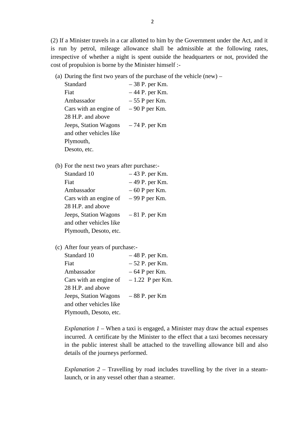(2) If a Minister travels in a car allotted to him by the Government under the Act, and it is run by petrol, mileage allowance shall be admissible at the following rates, irrespective of whether a night is spent outside the headquarters or not, provided the cost of propulsion is borne by the Minister himself :- (a) During the first two years of the purchase of the vehicle (new) –<br>Standard – 38 P. per Km.<br>First two years of the purchase of the vehicle (new) – Standard – 38 P. per Km.<br>Fiat – 44 P. per Km.

(a) During the first two years of the purchase of the vehicle (new)  $-$ 

|  | st of propulsion is borne by the Minister himself :-          | respective of whether a night is spent outside the headqu |  |  |  |  |
|--|---------------------------------------------------------------|-----------------------------------------------------------|--|--|--|--|
|  | (a) During the first two years of the purchase of the vehicle |                                                           |  |  |  |  |
|  | Standard                                                      | $-38$ P. per Km.                                          |  |  |  |  |
|  | Fiat                                                          | $-44$ P. per Km.                                          |  |  |  |  |
|  | Ambassador                                                    | $-55$ P per Km.                                           |  |  |  |  |
|  | Cars with an engine of $-90$ P per Km.                        |                                                           |  |  |  |  |
|  | 28 H.P. and above                                             |                                                           |  |  |  |  |
|  | Jeeps, Station Wagons $-74$ P. per Km                         |                                                           |  |  |  |  |
|  | and other vehicles like                                       |                                                           |  |  |  |  |
|  | Plymouth,                                                     |                                                           |  |  |  |  |
|  | Desoto, etc.                                                  |                                                           |  |  |  |  |
|  | (b) For the next two years after purchase:-                   |                                                           |  |  |  |  |
|  | Standard 10                                                   | $-43$ P. per Km.                                          |  |  |  |  |
|  | Fiat                                                          | $-49$ P. per Km.                                          |  |  |  |  |
|  |                                                               |                                                           |  |  |  |  |

| For the next two years after purchase:- |                  |
|-----------------------------------------|------------------|
| Standard 10                             | $-43$ P. per Km. |
| Fiat                                    | $-49$ P. per Km. |
| Ambassador                              | $-60$ P per Km.  |
| Cars with an engine of $-99$ P per Km.  |                  |
| 28 H.P. and above                       |                  |
| Jeeps, Station Wagons                   | $-81$ P. per Km  |
| and other vehicles like                 |                  |
| Plymouth, Desoto, etc.                  |                  |
|                                         |                  |

#### (c) After four years of purchase:-

| Standard 10             | $-48$ P. per Km.  |
|-------------------------|-------------------|
| Fiat                    | $-52$ P. per Km.  |
| Ambassador              | $-64$ P per Km.   |
| Cars with an engine of  | $-1.22$ P per Km. |
| 28 H.P. and above       |                   |
| Jeeps, Station Wagons   | $-88$ P. per Km   |
| and other vehicles like |                   |
| Plymouth, Desoto, etc.  |                   |

*Explanation 1* – When a taxi is engaged, a Minister may draw the actual expenses incurred. A certificate by the Minister to the effect that a taxi becomes necessary in the public interest shall be attached to the travelling allowance bill and also details of the journeys performed.

*Explanation 2* – Travelling by road includes travelling by the river in a steamlaunch, or in any vessel other than a steamer.